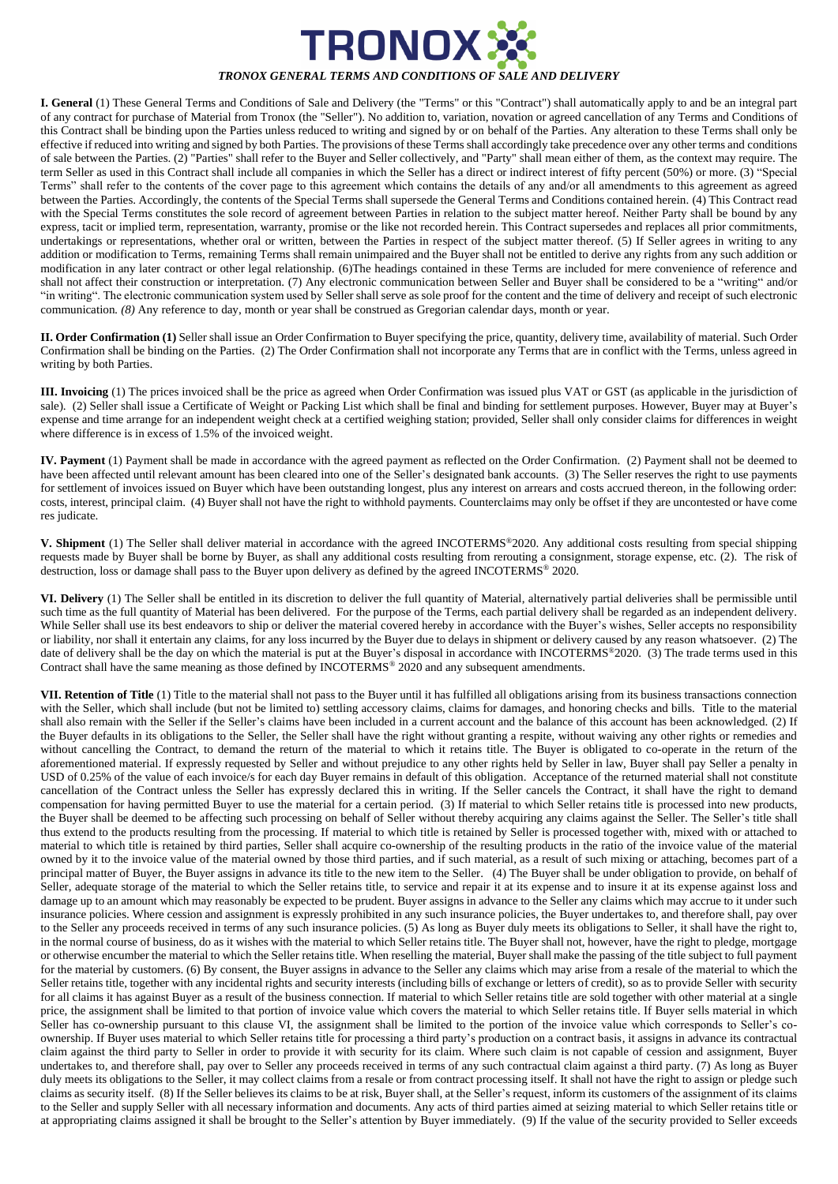

**I. General** (1) These General Terms and Conditions of Sale and Delivery (the "Terms" or this "Contract") shall automatically apply to and be an integral part of any contract for purchase of Material from Tronox (the "Seller"). No addition to, variation, novation or agreed cancellation of any Terms and Conditions of this Contract shall be binding upon the Parties unless reduced to writing and signed by or on behalf of the Parties. Any alteration to these Terms shall only be effective if reduced into writing and signed by both Parties. The provisions of these Terms shall accordingly take precedence over any other terms and conditions of sale between the Parties. (2) "Parties" shall refer to the Buyer and Seller collectively, and "Party" shall mean either of them, as the context may require. The term Seller as used in this Contract shall include all companies in which the Seller has a direct or indirect interest of fifty percent (50%) or more. (3) "Special Terms" shall refer to the contents of the cover page to this agreement which contains the details of any and/or all amendments to this agreement as agreed between the Parties. Accordingly, the contents of the Special Terms shall supersede the General Terms and Conditions contained herein. (4) This Contract read with the Special Terms constitutes the sole record of agreement between Parties in relation to the subject matter hereof. Neither Party shall be bound by any express, tacit or implied term, representation, warranty, promise or the like not recorded herein. This Contract supersedes and replaces all prior commitments, undertakings or representations, whether oral or written, between the Parties in respect of the subject matter thereof. (5) If Seller agrees in writing to any addition or modification to Terms, remaining Terms shall remain unimpaired and the Buyer shall not be entitled to derive any rights from any such addition or modification in any later contract or other legal relationship. (6)The headings contained in these Terms are included for mere convenience of reference and shall not affect their construction or interpretation. (7) Any electronic communication between Seller and Buyer shall be considered to be a "writing" and/or "in writing". The electronic communication system used by Seller shall serve as sole proof for the content and the time of delivery and receipt of such electronic communication*. (8)* Any reference to day, month or year shall be construed as Gregorian calendar days, month or year.

**II. Order Confirmation (1)** Seller shall issue an Order Confirmation to Buyer specifying the price, quantity, delivery time, availability of material. Such Order Confirmation shall be binding on the Parties. (2) The Order Confirmation shall not incorporate any Terms that are in conflict with the Terms, unless agreed in writing by both Parties.

**III. Invoicing** (1) The prices invoiced shall be the price as agreed when Order Confirmation was issued plus VAT or GST (as applicable in the jurisdiction of sale). (2) Seller shall issue a Certificate of Weight or Packing List which shall be final and binding for settlement purposes. However, Buyer may at Buyer's expense and time arrange for an independent weight check at a certified weighing station; provided, Seller shall only consider claims for differences in weight where difference is in excess of 1.5% of the invoiced weight.

**IV. Payment** (1) Payment shall be made in accordance with the agreed payment as reflected on the Order Confirmation. (2) Payment shall not be deemed to have been affected until relevant amount has been cleared into one of the Seller's designated bank accounts. (3) The Seller reserves the right to use payments for settlement of invoices issued on Buyer which have been outstanding longest, plus any interest on arrears and costs accrued thereon, in the following order: costs, interest, principal claim. (4) Buyer shall not have the right to withhold payments. Counterclaims may only be offset if they are uncontested or have come res judicate.

**V. Shipment** (1) The Seller shall deliver material in accordance with the agreed INCOTERMS®2020. Any additional costs resulting from special shipping requests made by Buyer shall be borne by Buyer, as shall any additional costs resulting from rerouting a consignment, storage expense, etc. (2). The risk of destruction, loss or damage shall pass to the Buyer upon delivery as defined by the agreed INCOTERMS® 2020.

**VI. Delivery** (1) The Seller shall be entitled in its discretion to deliver the full quantity of Material, alternatively partial deliveries shall be permissible until such time as the full quantity of Material has been delivered. For the purpose of the Terms, each partial delivery shall be regarded as an independent delivery. While Seller shall use its best endeavors to ship or deliver the material covered hereby in accordance with the Buyer's wishes, Seller accepts no responsibility or liability, nor shall it entertain any claims, for any loss incurred by the Buyer due to delays in shipment or delivery caused by any reason whatsoever. (2) The date of delivery shall be the day on which the material is put at the Buyer's disposal in accordance with INCOTERMS®2020. (3) The trade terms used in this Contract shall have the same meaning as those defined by INCOTERMS® 2020 and any subsequent amendments.

**VII. Retention of Title** (1) Title to the material shall not pass to the Buyer until it has fulfilled all obligations arising from its business transactions connection with the Seller, which shall include (but not be limited to) settling accessory claims, claims for damages, and honoring checks and bills. Title to the material shall also remain with the Seller if the Seller's claims have been included in a current account and the balance of this account has been acknowledged. (2) If the Buyer defaults in its obligations to the Seller, the Seller shall have the right without granting a respite, without waiving any other rights or remedies and without cancelling the Contract, to demand the return of the material to which it retains title. The Buyer is obligated to co-operate in the return of the aforementioned material. If expressly requested by Seller and without prejudice to any other rights held by Seller in law, Buyer shall pay Seller a penalty in USD of 0.25% of the value of each invoice/s for each day Buyer remains in default of this obligation. Acceptance of the returned material shall not constitute cancellation of the Contract unless the Seller has expressly declared this in writing. If the Seller cancels the Contract, it shall have the right to demand compensation for having permitted Buyer to use the material for a certain period. (3) If material to which Seller retains title is processed into new products, the Buyer shall be deemed to be affecting such processing on behalf of Seller without thereby acquiring any claims against the Seller. The Seller's title shall thus extend to the products resulting from the processing. If material to which title is retained by Seller is processed together with, mixed with or attached to material to which title is retained by third parties, Seller shall acquire co-ownership of the resulting products in the ratio of the invoice value of the material owned by it to the invoice value of the material owned by those third parties, and if such material, as a result of such mixing or attaching, becomes part of a principal matter of Buyer, the Buyer assigns in advance its title to the new item to the Seller. (4) The Buyer shall be under obligation to provide, on behalf of Seller, adequate storage of the material to which the Seller retains title, to service and repair it at its expense and to insure it at its expense against loss and damage up to an amount which may reasonably be expected to be prudent. Buyer assigns in advance to the Seller any claims which may accrue to it under such insurance policies. Where cession and assignment is expressly prohibited in any such insurance policies, the Buyer undertakes to, and therefore shall, pay over to the Seller any proceeds received in terms of any such insurance policies. (5) As long as Buyer duly meets its obligations to Seller, it shall have the right to, in the normal course of business, do as it wishes with the material to which Seller retains title. The Buyer shall not, however, have the right to pledge, mortgage or otherwise encumber the material to which the Seller retains title. When reselling the material, Buyer shall make the passing of the title subject to full payment for the material by customers. (6) By consent, the Buyer assigns in advance to the Seller any claims which may arise from a resale of the material to which the Seller retains title, together with any incidental rights and security interests (including bills of exchange or letters of credit), so as to provide Seller with security for all claims it has against Buyer as a result of the business connection. If material to which Seller retains title are sold together with other material at a single price, the assignment shall be limited to that portion of invoice value which covers the material to which Seller retains title. If Buyer sells material in which Seller has co-ownership pursuant to this clause VI, the assignment shall be limited to the portion of the invoice value which corresponds to Seller's coownership. If Buyer uses material to which Seller retains title for processing a third party's production on a contract basis, it assigns in advance its contractual claim against the third party to Seller in order to provide it with security for its claim. Where such claim is not capable of cession and assignment, Buyer undertakes to, and therefore shall, pay over to Seller any proceeds received in terms of any such contractual claim against a third party. (7) As long as Buyer duly meets its obligations to the Seller, it may collect claims from a resale or from contract processing itself. It shall not have the right to assign or pledge such claims as security itself. (8) If the Seller believes its claims to be at risk, Buyer shall, at the Seller's request, inform its customers of the assignment of its claims to the Seller and supply Seller with all necessary information and documents. Any acts of third parties aimed at seizing material to which Seller retains title or at appropriating claims assigned it shall be brought to the Seller's attention by Buyer immediately. (9) If the value of the security provided to Seller exceeds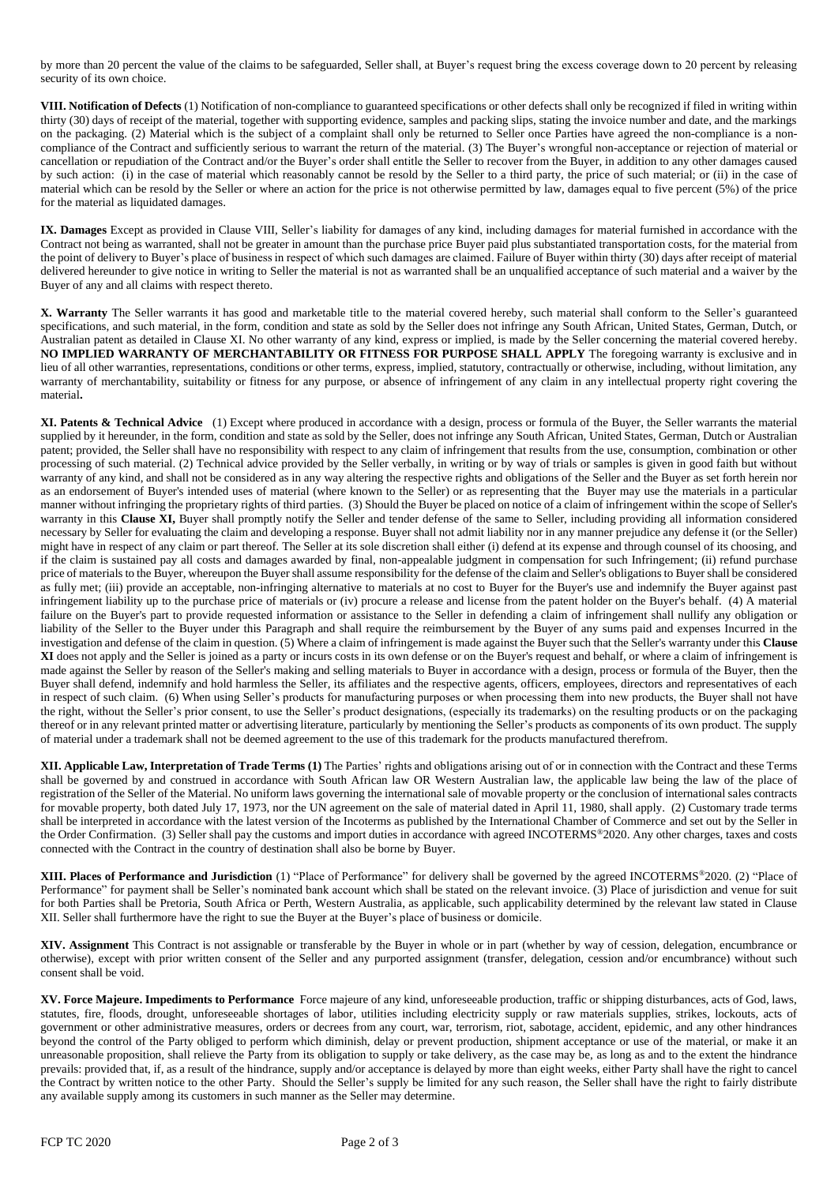by more than 20 percent the value of the claims to be safeguarded, Seller shall, at Buyer's request bring the excess coverage down to 20 percent by releasing security of its own choice.

**VIII. Notification of Defects** (1) Notification of non-compliance to guaranteed specifications or other defects shall only be recognized if filed in writing within thirty (30) days of receipt of the material, together with supporting evidence, samples and packing slips, stating the invoice number and date, and the markings on the packaging. (2) Material which is the subject of a complaint shall only be returned to Seller once Parties have agreed the non-compliance is a noncompliance of the Contract and sufficiently serious to warrant the return of the material. (3) The Buyer's wrongful non-acceptance or rejection of material or cancellation or repudiation of the Contract and/or the Buyer's order shall entitle the Seller to recover from the Buyer, in addition to any other damages caused by such action: (i) in the case of material which reasonably cannot be resold by the Seller to a third party, the price of such material; or (ii) in the case of material which can be resold by the Seller or where an action for the price is not otherwise permitted by law, damages equal to five percent (5%) of the price for the material as liquidated damages.

**IX. Damages** Except as provided in Clause VIII, Seller's liability for damages of any kind, including damages for material furnished in accordance with the Contract not being as warranted, shall not be greater in amount than the purchase price Buyer paid plus substantiated transportation costs, for the material from the point of delivery to Buyer's place of business in respect of which such damages are claimed. Failure of Buyer within thirty (30) days after receipt of material delivered hereunder to give notice in writing to Seller the material is not as warranted shall be an unqualified acceptance of such material and a waiver by the Buyer of any and all claims with respect thereto.

**X. Warranty** The Seller warrants it has good and marketable title to the material covered hereby, such material shall conform to the Seller's guaranteed specifications, and such material, in the form, condition and state as sold by the Seller does not infringe any South African, United States, German, Dutch, or Australian patent as detailed in Clause XI. No other warranty of any kind, express or implied, is made by the Seller concerning the material covered hereby. **NO IMPLIED WARRANTY OF MERCHANTABILITY OR FITNESS FOR PURPOSE SHALL APPLY** The foregoing warranty is exclusive and in lieu of all other warranties, representations, conditions or other terms, express, implied, statutory, contractually or otherwise, including, without limitation, any warranty of merchantability, suitability or fitness for any purpose, or absence of infringement of any claim in any intellectual property right covering the material**.**

**XI. Patents & Technical Advice** (1) Except where produced in accordance with a design, process or formula of the Buyer, the Seller warrants the material supplied by it hereunder, in the form, condition and state as sold by the Seller, does not infringe any South African, United States, German, Dutch or Australian patent; provided, the Seller shall have no responsibility with respect to any claim of infringement that results from the use, consumption, combination or other processing of such material. (2) Technical advice provided by the Seller verbally, in writing or by way of trials or samples is given in good faith but without warranty of any kind, and shall not be considered as in any way altering the respective rights and obligations of the Seller and the Buyer as set forth herein nor as an endorsement of Buyer's intended uses of material (where known to the Seller) or as representing that the Buyer may use the materials in a particular manner without infringing the proprietary rights of third parties. (3) Should the Buyer be placed on notice of a claim of infringement within the scope of Seller's warranty in this **Clause XI**, Buyer shall promptly notify the Seller and tender defense of the same to Seller, including providing all information considered necessary by Seller for evaluating the claim and developing a response. Buyer shall not admit liability nor in any manner prejudice any defense it (or the Seller) might have in respect of any claim or part thereof. The Seller at its sole discretion shall either (i) defend at its expense and through counsel of its choosing, and if the claim is sustained pay all costs and damages awarded by final, non-appealable judgment in compensation for such Infringement; (ii) refund purchase price of materials to the Buyer, whereupon the Buyer shall assume responsibility for the defense of the claim and Seller's obligations to Buyer shall be considered as fully met; (iii) provide an acceptable, non-infringing alternative to materials at no cost to Buyer for the Buyer's use and indemnify the Buyer against past infringement liability up to the purchase price of materials or (iv) procure a release and license from the patent holder on the Buyer's behalf. (4) A material failure on the Buyer's part to provide requested information or assistance to the Seller in defending a claim of infringement shall nullify any obligation or liability of the Seller to the Buyer under this Paragraph and shall require the reimbursement by the Buyer of any sums paid and expenses Incurred in the investigation and defense of the claim in question. (5) Where a claim of infringement is made against the Buyer such that the Seller's warranty under this **Clause XI** does not apply and the Seller is joined as a party or incurs costs in its own defense or on the Buyer's request and behalf, or where a claim of infringement is made against the Seller by reason of the Seller's making and selling materials to Buyer in accordance with a design, process or formula of the Buyer, then the Buyer shall defend, indemnify and hold harmless the Seller, its affiliates and the respective agents, officers, employees, directors and representatives of each in respect of such claim. (6) When using Seller's products for manufacturing purposes or when processing them into new products, the Buyer shall not have the right, without the Seller's prior consent, to use the Seller's product designations, (especially its trademarks) on the resulting products or on the packaging thereof or in any relevant printed matter or advertising literature, particularly by mentioning the Seller's products as components of its own product. The supply of material under a trademark shall not be deemed agreement to the use of this trademark for the products manufactured therefrom.

**XII. Applicable Law, Interpretation of Trade Terms (1)** The Parties' rights and obligations arising out of or in connection with the Contract and these Terms shall be governed by and construed in accordance with South African law OR Western Australian law, the applicable law being the law of the place of registration of the Seller of the Material. No uniform laws governing the international sale of movable property or the conclusion of international sales contracts for movable property, both dated July 17, 1973, nor the UN agreement on the sale of material dated in April 11, 1980, shall apply. (2) Customary trade terms shall be interpreted in accordance with the latest version of the Incoterms as published by the International Chamber of Commerce and set out by the Seller in the Order Confirmation. (3) Seller shall pay the customs and import duties in accordance with agreed INCOTERMS®2020. Any other charges, taxes and costs connected with the Contract in the country of destination shall also be borne by Buyer.

**XIII. Places of Performance and Jurisdiction** (1) "Place of Performance" for delivery shall be governed by the agreed INCOTERMS®2020. (2) "Place of Performance" for payment shall be Seller's nominated bank account which shall be stated on the relevant invoice. (3) Place of jurisdiction and venue for suit for both Parties shall be Pretoria, South Africa or Perth, Western Australia, as applicable, such applicability determined by the relevant law stated in Clause XII. Seller shall furthermore have the right to sue the Buyer at the Buyer's place of business or domicile.

**XIV. Assignment** This Contract is not assignable or transferable by the Buyer in whole or in part (whether by way of cession, delegation, encumbrance or otherwise), except with prior written consent of the Seller and any purported assignment (transfer, delegation, cession and/or encumbrance) without such consent shall be void.

**XV. Force Majeure. Impediments to Performance** Force majeure of any kind, unforeseeable production, traffic or shipping disturbances, acts of God, laws, statutes, fire, floods, drought, unforeseeable shortages of labor, utilities including electricity supply or raw materials supplies, strikes, lockouts, acts of government or other administrative measures, orders or decrees from any court, war, terrorism, riot, sabotage, accident, epidemic, and any other hindrances beyond the control of the Party obliged to perform which diminish, delay or prevent production, shipment acceptance or use of the material, or make it an unreasonable proposition, shall relieve the Party from its obligation to supply or take delivery, as the case may be, as long as and to the extent the hindrance prevails: provided that, if, as a result of the hindrance, supply and/or acceptance is delayed by more than eight weeks, either Party shall have the right to cancel the Contract by written notice to the other Party. Should the Seller's supply be limited for any such reason, the Seller shall have the right to fairly distribute any available supply among its customers in such manner as the Seller may determine.